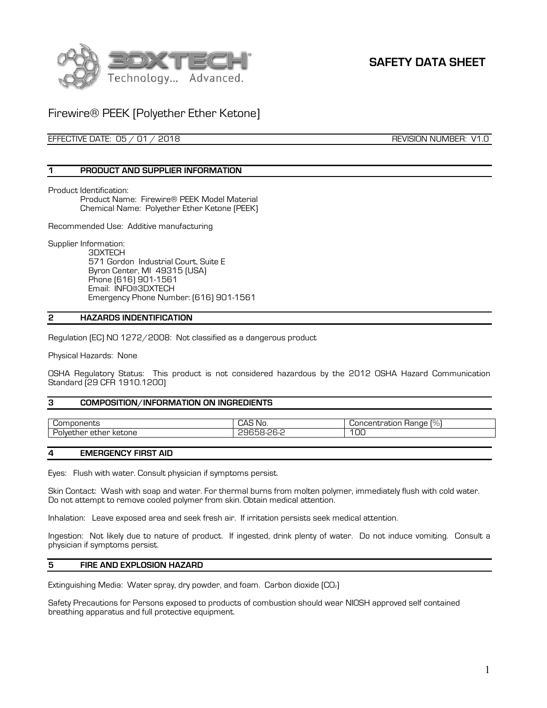

# **SAFETY DATA SHEET**

## Firewire® PEEK [Polyether Ether Ketone]

EFFECTIVE DATE: 05 / 01 / 2018 REVISION NUMBER: V1.0

### **1 PRODUCT AND SUPPLIER INFORMATION**

Product Identification:

Product Name: Firewire® PEEK Model Material Chemical Name: Polyether Ether Ketone (PEEK)

Recommended Use: Additive manufacturing

Supplier Information:

3DXTECH 571 Gordon Industrial Court, Suite E Byron Center, MI 49315 (USA) Phone (616) 901-1561 Email: INFO@3DXTECH Emergency Phone Number: (616) 901-1561

#### **2 HAZARDS INDENTIFICATION**

Regulation (EC) NO 1272/2008: Not classified as a dangerous product

Physical Hazards: None

OSHA Regulatory Status: This product is not considered hazardous by the 2012 OSHA Hazard Communication Standard [29 CFR 1910.1200]

### **3 COMPOSITION/INFORMATION ON INGREDIENTS**

| nponents<br>J0r                       | . חי<br>∻No.<br>ہرے<br>ישר                                                                         | ---<br>atior'<br>Hange<br>hcentr<br>التاب |
|---------------------------------------|----------------------------------------------------------------------------------------------------|-------------------------------------------|
| ' ketone<br>etne.<br>. cner r<br>olvF | $\sim$ $\sim$<br>$\overline{\phantom{0}}$<br>∼<br><b>B</b> – 4<br>าเ<br>. .<br>. .<br>ີ<br>ີ<br>-- | OO                                        |

## **4 EMERGENCY FIRST AID**

Eyes: Flush with water. Consult physician if symptoms persist.

Skin Contact: Wash with soap and water. For thermal burns from molten polymer, immediately flush with cold water. Do not attempt to remove cooled polymer from skin. Obtain medical attention.

Inhalation: Leave exposed area and seek fresh air. If irritation persists seek medical attention.

Ingestion: Not likely due to nature of product. If ingested, drink plenty of water. Do not induce vomiting. Consult a physician if symptoms persist.

#### **5 FIRE AND EXPLOSION HAZARD**

Extinguishing Media: Water spray, dry powder, and foam. Carbon dioxide [CO2]

Safety Precautions for Persons exposed to products of combustion should wear NIOSH approved self contained breathing apparatus and full protective equipment.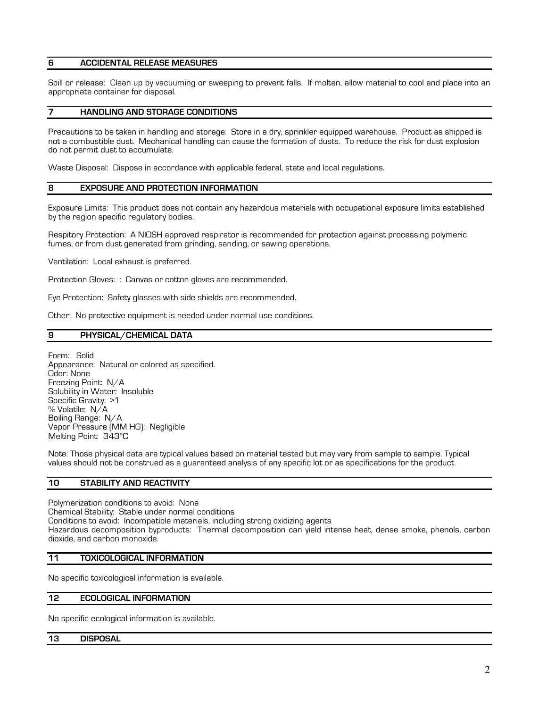#### **6 ACCIDENTAL RELEASE MEASURES**

Spill or release: Clean up by vacuuming or sweeping to prevent falls. If molten, allow material to cool and place into an appropriate container for disposal.

#### **7 HANDLING AND STORAGE CONDITIONS**

Precautions to be taken in handling and storage: Store in a dry, sprinkler equipped warehouse. Product as shipped is not a combustible dust. Mechanical handling can cause the formation of dusts. To reduce the risk for dust explosion do not permit dust to accumulate.

Waste Disposal: Dispose in accordance with applicable federal, state and local regulations.

## **8 EXPOSURE AND PROTECTION INFORMATION**

Exposure Limits: This product does not contain any hazardous materials with occupational exposure limits established by the region specific regulatory bodies.

Respitory Protection: A NIOSH approved respirator is recommended for protection against processing polymeric fumes, or from dust generated from grinding, sanding, or sawing operations.

Ventilation: Local exhaust is preferred.

Protection Gloves: : Canvas or cotton gloves are recommended.

Eye Protection: Safety glasses with side shields are recommended.

Other: No protective equipment is needed under normal use conditions.

## **9 PHYSICAL/CHEMICAL DATA**

Form: Solid Appearance: Natural or colored as specified. Odor: None Freezing Point: N/A Solubility in Water: Insoluble Specific Gravity: >1  $%$  Volatile:  $N/A$ Boiling Range: N/A Vapor Pressure (MM HG): Negligible Melting Point: 343°C

Note: Those physical data are typical values based on material tested but may vary from sample to sample. Typical values should not be construed as a guaranteed analysis of any specific lot or as specifications for the product.

## **10 STABILITY AND REACTIVITY**

Polymerization conditions to avoid: None Chemical Stability: Stable under normal conditions Conditions to avoid: Incompatible materials, including strong oxidizing agents Hazardous decomposition byproducts: Thermal decomposition can yield intense heat, dense smoke, phenols, carbon dioxide, and carbon monoxide.

## **11 TOXICOLOGICAL INFORMATION**

No specific toxicological information is available.

## **12 ECOLOGICAL INFORMATION**

No specific ecological information is available.

#### **13 DISPOSAL**